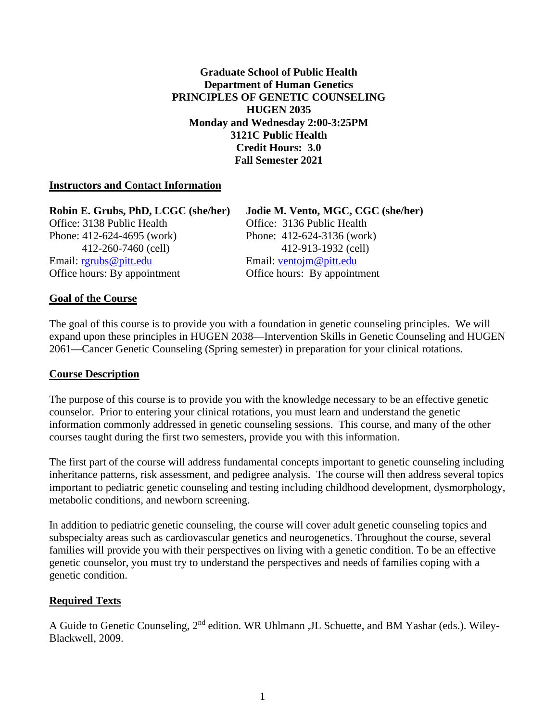**Graduate School of Public Health Department of Human Genetics PRINCIPLES OF GENETIC COUNSELING HUGEN 2035 Monday and Wednesday 2:00-3:25PM 3121C Public Health Credit Hours: 3.0 Fall Semester 2021**

### **Instructors and Contact Information**

| Robin E. Grubs, PhD, LCGC (she/her) | Jodie M. Vento, MGC, CGC (she/her) |
|-------------------------------------|------------------------------------|
| Office: 3138 Public Health          | Office: 3136 Public Health         |
| Phone: 412-624-4695 (work)          | Phone: $412-624-3136$ (work)       |
| 412-260-7460 (cell)                 | 412-913-1932 (cell)                |
| Email: $rgrubs@pitt.edu$            | Email: ventojm@pitt.edu            |
| Office hours: By appointment        | Office hours: By appointment       |

#### **Goal of the Course**

The goal of this course is to provide you with a foundation in genetic counseling principles. We will expand upon these principles in HUGEN 2038—Intervention Skills in Genetic Counseling and HUGEN 2061—Cancer Genetic Counseling (Spring semester) in preparation for your clinical rotations.

#### **Course Description**

The purpose of this course is to provide you with the knowledge necessary to be an effective genetic counselor. Prior to entering your clinical rotations, you must learn and understand the genetic information commonly addressed in genetic counseling sessions. This course, and many of the other courses taught during the first two semesters, provide you with this information.

The first part of the course will address fundamental concepts important to genetic counseling including inheritance patterns, risk assessment, and pedigree analysis. The course will then address several topics important to pediatric genetic counseling and testing including childhood development, dysmorphology, metabolic conditions, and newborn screening.

In addition to pediatric genetic counseling, the course will cover adult genetic counseling topics and subspecialty areas such as cardiovascular genetics and neurogenetics. Throughout the course, several families will provide you with their perspectives on living with a genetic condition. To be an effective genetic counselor, you must try to understand the perspectives and needs of families coping with a genetic condition.

#### **Required Texts**

A Guide to Genetic Counseling, 2nd edition. WR Uhlmann ,JL Schuette, and BM Yashar (eds.). Wiley-Blackwell, 2009.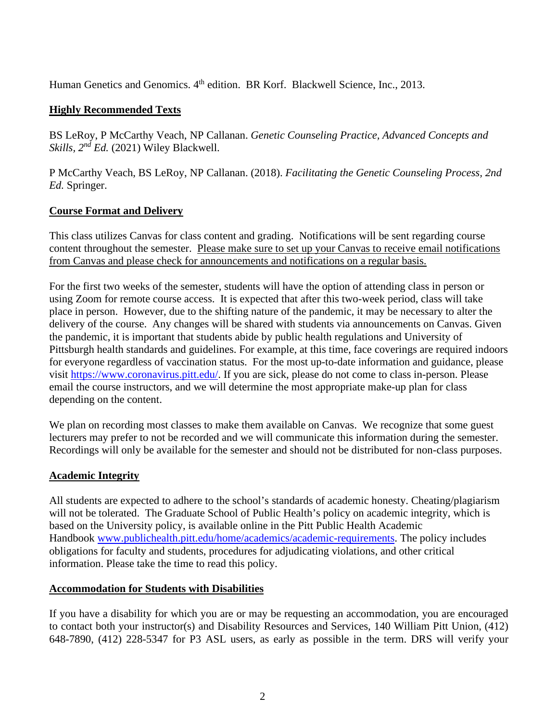Human Genetics and Genomics. 4<sup>th</sup> edition. BR Korf. Blackwell Science, Inc., 2013.

### **Highly Recommended Texts**

BS LeRoy, P McCarthy Veach, NP Callanan. *Genetic Counseling Practice, Advanced Concepts and Skills, 2nd Ed.* (2021) Wiley Blackwell.

P McCarthy Veach, BS LeRoy, NP Callanan. (2018). *Facilitating the Genetic Counseling Process, 2nd Ed.* Springer.

### **Course Format and Delivery**

This class utilizes Canvas for class content and grading. Notifications will be sent regarding course content throughout the semester. Please make sure to set up your Canvas to receive email notifications from Canvas and please check for announcements and notifications on a regular basis.

For the first two weeks of the semester, students will have the option of attending class in person or using Zoom for remote course access. It is expected that after this two-week period, class will take place in person. However, due to the shifting nature of the pandemic, it may be necessary to alter the delivery of the course. Any changes will be shared with students via announcements on Canvas. Given the pandemic, it is important that students abide by public health regulations and University of Pittsburgh health standards and guidelines. For example, at this time, face coverings are required indoors for everyone regardless of vaccination status. For the most up-to-date information and guidance, please visit [https://www.coronavirus.pitt.edu/.](https://www.coronavirus.pitt.edu/) If you are sick, please do not come to class in-person. Please email the course instructors, and we will determine the most appropriate make-up plan for class depending on the content.

We plan on recording most classes to make them available on Canvas. We recognize that some guest lecturers may prefer to not be recorded and we will communicate this information during the semester. Recordings will only be available for the semester and should not be distributed for non-class purposes.

### **Academic Integrity**

All students are expected to adhere to the school's standards of academic honesty. Cheating/plagiarism will not be tolerated. The Graduate School of Public Health's policy on academic integrity, which is based on the University policy, is available online in the Pitt Public Health Academic Handbook [www.publichealth.pitt.edu/home/academics/academic-requirements.](https://na01.safelinks.protection.outlook.com/?url=http%3A%2F%2Fwww.publichealth.pitt.edu%2Fhome%2Facademics%2Facademic-requirements&data=01%7C01%7CRobin.Leaf%40pitt.edu%7Cd2b682f8df1344a1488b08d5f7078713%7C9ef9f489e0a04eeb87cc3a526112fd0d%7C1&sdata=6ufA2nSlUetTPqxC3zE70WlE7mLMvNKznCNB7nQHwj0%3D&reserved=0) The policy includes obligations for faculty and students, procedures for adjudicating violations, and other critical information. Please take the time to read this policy.

### **Accommodation for Students with Disabilities**

If you have a disability for which you are or may be requesting an accommodation, you are encouraged to contact both your instructor(s) and Disability Resources and Services, 140 William Pitt Union, (412) 648-7890, (412) 228-5347 for P3 ASL users, as early as possible in the term. DRS will verify your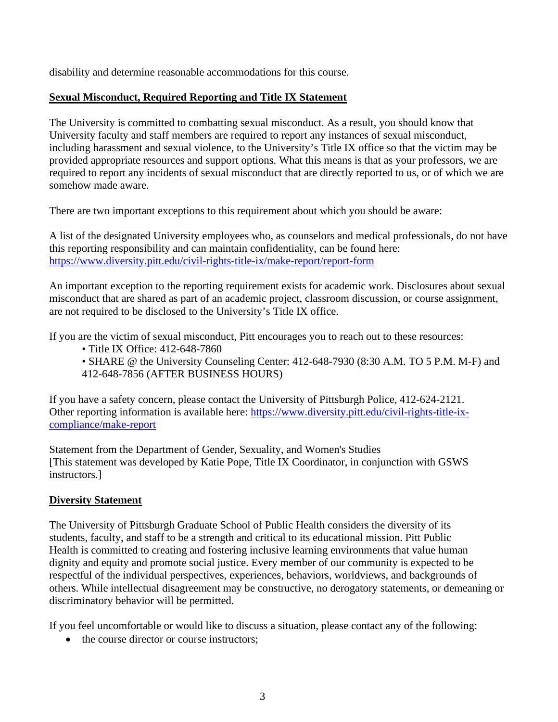disability and determine reasonable accommodations for this course.

# **Sexual Misconduct, Required Reporting and Title IX Statement**

The University is committed to combatting sexual misconduct. As a result, you should know that University faculty and staff members are required to report any instances of sexual misconduct, including harassment and sexual violence, to the University's Title IX office so that the victim may be provided appropriate resources and support options. What this means is that as your professors, we are required to report any incidents of sexual misconduct that are directly reported to us, or of which we are somehow made aware.

There are two important exceptions to this requirement about which you should be aware:

A list of the designated University employees who, as counselors and medical professionals, do not have this reporting responsibility and can maintain confidentiality, can be found here: <https://www.diversity.pitt.edu/civil-rights-title-ix/make-report/report-form>

An important exception to the reporting requirement exists for academic work. Disclosures about sexual misconduct that are shared as part of an academic project, classroom discussion, or course assignment, are not required to be disclosed to the University's Title IX office.

If you are the victim of sexual misconduct, Pitt encourages you to reach out to these resources:

• Title IX Office: 412-648-7860

• SHARE @ the University Counseling Center: 412-648-7930 (8:30 A.M. TO 5 P.M. M-F) and 412-648-7856 (AFTER BUSINESS HOURS)

If you have a safety concern, please contact the University of Pittsburgh Police, 412-624-2121. Other reporting information is available here: [https://www.diversity.pitt.edu/civil-rights-title-ix](https://www.diversity.pitt.edu/civil-rights-title-ix-compliance/make-report)[compliance/make-report](https://www.diversity.pitt.edu/civil-rights-title-ix-compliance/make-report)

Statement from the Department of Gender, Sexuality, and Women's Studies [This statement was developed by Katie Pope, Title IX Coordinator, in conjunction with GSWS instructors.]

# **Diversity Statement**

The University of Pittsburgh Graduate School of Public Health considers the diversity of its students, faculty, and staff to be a strength and critical to its educational mission. Pitt Public Health is committed to creating and fostering inclusive learning environments that value human dignity and equity and promote social justice. Every member of our community is expected to be respectful of the individual perspectives, experiences, behaviors, worldviews, and backgrounds of others. While intellectual disagreement may be constructive, no derogatory statements, or demeaning or discriminatory behavior will be permitted.

If you feel uncomfortable or would like to discuss a situation, please contact any of the following:

• the course director or course instructors: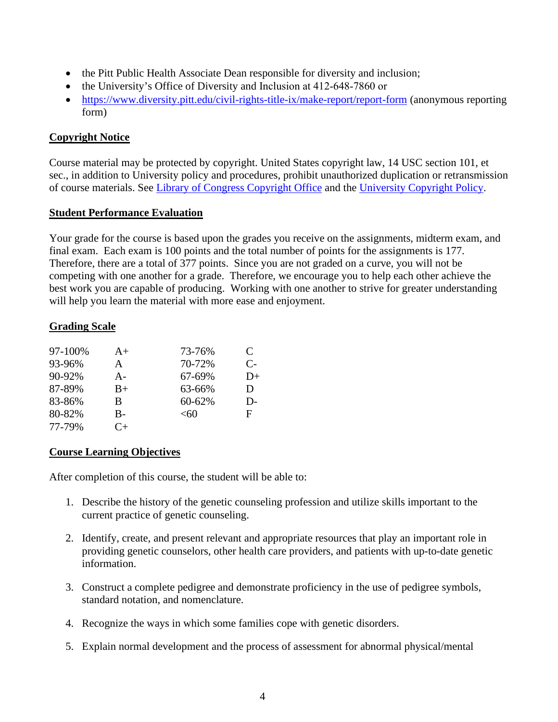- the Pitt Public Health Associate Dean responsible for diversity and inclusion;
- the University's Office of Diversity and Inclusion at 412-648-7860 or
- <https://www.diversity.pitt.edu/civil-rights-title-ix/make-report/report-form> (anonymous reporting form)

# **Copyright Notice**

Course material may be protected by copyright. United States copyright law, 14 USC section 101, et sec., in addition to University policy and procedures, prohibit unauthorized duplication or retransmission of course materials. See [Library of Congress Copyright Office](http://www.copyright.gov/) and the [University Copyright Policy.](https://www.policy.pitt.edu/cs-03-copying-copyrighted-material-formerly-10-04-01)

# **Student Performance Evaluation**

Your grade for the course is based upon the grades you receive on the assignments, midterm exam, and final exam. Each exam is 100 points and the total number of points for the assignments is 177. Therefore, there are a total of 377 points. Since you are not graded on a curve, you will not be competing with one another for a grade. Therefore, we encourage you to help each other achieve the best work you are capable of producing. Working with one another to strive for greater understanding will help you learn the material with more ease and enjoyment.

# **Grading Scale**

| 97-100% | $A+$      | 73-76% | C    |
|---------|-----------|--------|------|
| 93-96%  | A         | 70-72% | $C-$ |
| 90-92%  | $A -$     | 67-69% | D+   |
| 87-89%  | $B+$      | 63-66% | D    |
| 83-86%  | B         | 60-62% | D-   |
| 80-82%  | B-        | < 60   | F    |
| 77-79%  | $C_{\pm}$ |        |      |

# **Course Learning Objectives**

After completion of this course, the student will be able to:

- 1. Describe the history of the genetic counseling profession and utilize skills important to the current practice of genetic counseling.
- 2. Identify, create, and present relevant and appropriate resources that play an important role in providing genetic counselors, other health care providers, and patients with up-to-date genetic information.
- 3. Construct a complete pedigree and demonstrate proficiency in the use of pedigree symbols, standard notation, and nomenclature.
- 4. Recognize the ways in which some families cope with genetic disorders.
- 5. Explain normal development and the process of assessment for abnormal physical/mental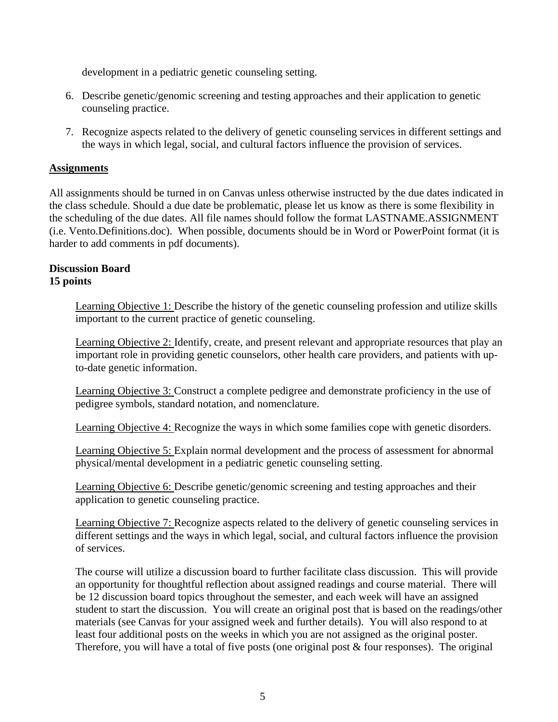development in a pediatric genetic counseling setting.

- 6. Describe genetic/genomic screening and testing approaches and their application to genetic counseling practice.
- 7. Recognize aspects related to the delivery of genetic counseling services in different settings and the ways in which legal, social, and cultural factors influence the provision of services.

### **Assignments**

All assignments should be turned in on Canvas unless otherwise instructed by the due dates indicated in the class schedule. Should a due date be problematic, please let us know as there is some flexibility in the scheduling of the due dates. All file names should follow the format LASTNAME.ASSIGNMENT (i.e. Vento.Definitions.doc). When possible, documents should be in Word or PowerPoint format (it is harder to add comments in pdf documents).

#### **Discussion Board 15 points**

Learning Objective 1: Describe the history of the genetic counseling profession and utilize skills important to the current practice of genetic counseling.

Learning Objective 2: Identify, create, and present relevant and appropriate resources that play an important role in providing genetic counselors, other health care providers, and patients with upto-date genetic information.

Learning Objective 3: Construct a complete pedigree and demonstrate proficiency in the use of pedigree symbols, standard notation, and nomenclature.

Learning Objective 4: Recognize the ways in which some families cope with genetic disorders.

Learning Objective 5: Explain normal development and the process of assessment for abnormal physical/mental development in a pediatric genetic counseling setting.

Learning Objective 6: Describe genetic/genomic screening and testing approaches and their application to genetic counseling practice.

Learning Objective 7: Recognize aspects related to the delivery of genetic counseling services in different settings and the ways in which legal, social, and cultural factors influence the provision of services.

The course will utilize a discussion board to further facilitate class discussion. This will provide an opportunity for thoughtful reflection about assigned readings and course material. There will be 12 discussion board topics throughout the semester, and each week will have an assigned student to start the discussion. You will create an original post that is based on the readings/other materials (see Canvas for your assigned week and further details). You will also respond to at least four additional posts on the weeks in which you are not assigned as the original poster. Therefore, you will have a total of five posts (one original post & four responses). The original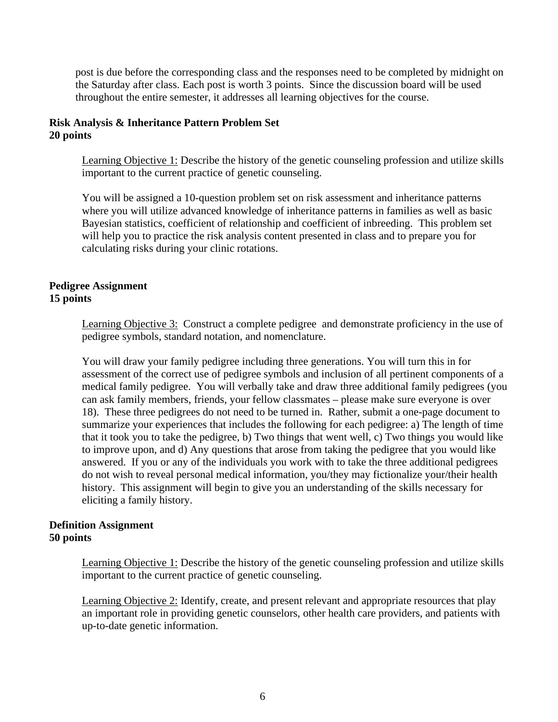post is due before the corresponding class and the responses need to be completed by midnight on the Saturday after class. Each post is worth 3 points. Since the discussion board will be used throughout the entire semester, it addresses all learning objectives for the course.

### **Risk Analysis & Inheritance Pattern Problem Set 20 points**

Learning Objective 1: Describe the history of the genetic counseling profession and utilize skills important to the current practice of genetic counseling.

You will be assigned a 10-question problem set on risk assessment and inheritance patterns where you will utilize advanced knowledge of inheritance patterns in families as well as basic Bayesian statistics, coefficient of relationship and coefficient of inbreeding. This problem set will help you to practice the risk analysis content presented in class and to prepare you for calculating risks during your clinic rotations.

### **Pedigree Assignment 15 points**

Learning Objective 3: Construct a complete pedigree and demonstrate proficiency in the use of pedigree symbols, standard notation, and nomenclature.

You will draw your family pedigree including three generations. You will turn this in for assessment of the correct use of pedigree symbols and inclusion of all pertinent components of a medical family pedigree. You will verbally take and draw three additional family pedigrees (you can ask family members, friends, your fellow classmates – please make sure everyone is over 18). These three pedigrees do not need to be turned in. Rather, submit a one-page document to summarize your experiences that includes the following for each pedigree: a) The length of time that it took you to take the pedigree, b) Two things that went well, c) Two things you would like to improve upon, and d) Any questions that arose from taking the pedigree that you would like answered. If you or any of the individuals you work with to take the three additional pedigrees do not wish to reveal personal medical information, you/they may fictionalize your/their health history. This assignment will begin to give you an understanding of the skills necessary for eliciting a family history.

### **Definition Assignment 50 points**

Learning Objective 1: Describe the history of the genetic counseling profession and utilize skills important to the current practice of genetic counseling.

Learning Objective 2: Identify, create, and present relevant and appropriate resources that play an important role in providing genetic counselors, other health care providers, and patients with up-to-date genetic information.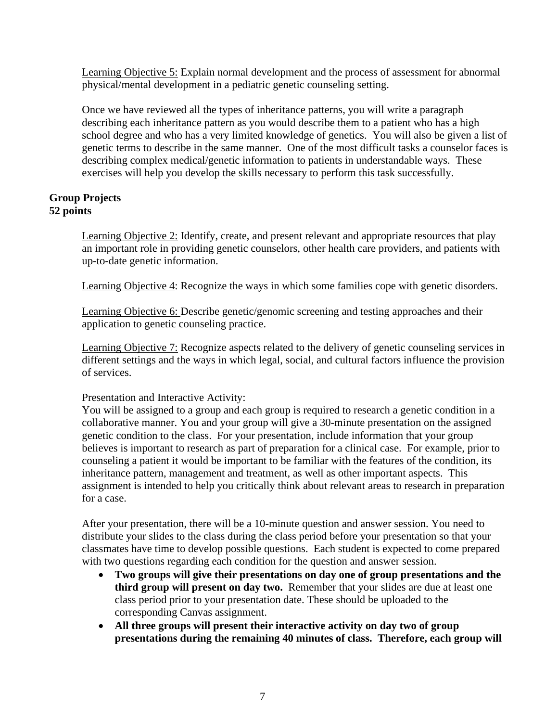Learning Objective 5: Explain normal development and the process of assessment for abnormal physical/mental development in a pediatric genetic counseling setting.

Once we have reviewed all the types of inheritance patterns, you will write a paragraph describing each inheritance pattern as you would describe them to a patient who has a high school degree and who has a very limited knowledge of genetics. You will also be given a list of genetic terms to describe in the same manner. One of the most difficult tasks a counselor faces is describing complex medical/genetic information to patients in understandable ways. These exercises will help you develop the skills necessary to perform this task successfully.

# **Group Projects 52 points**

Learning Objective 2: Identify, create, and present relevant and appropriate resources that play an important role in providing genetic counselors, other health care providers, and patients with up-to-date genetic information.

Learning Objective 4: Recognize the ways in which some families cope with genetic disorders.

Learning Objective 6: Describe genetic/genomic screening and testing approaches and their application to genetic counseling practice.

Learning Objective 7: Recognize aspects related to the delivery of genetic counseling services in different settings and the ways in which legal, social, and cultural factors influence the provision of services.

Presentation and Interactive Activity:

You will be assigned to a group and each group is required to research a genetic condition in a collaborative manner. You and your group will give a 30-minute presentation on the assigned genetic condition to the class. For your presentation, include information that your group believes is important to research as part of preparation for a clinical case. For example, prior to counseling a patient it would be important to be familiar with the features of the condition, its inheritance pattern, management and treatment, as well as other important aspects. This assignment is intended to help you critically think about relevant areas to research in preparation for a case.

After your presentation, there will be a 10-minute question and answer session. You need to distribute your slides to the class during the class period before your presentation so that your classmates have time to develop possible questions. Each student is expected to come prepared with two questions regarding each condition for the question and answer session.

- **Two groups will give their presentations on day one of group presentations and the third group will present on day two.** Remember that your slides are due at least one class period prior to your presentation date. These should be uploaded to the corresponding Canvas assignment.
- **All three groups will present their interactive activity on day two of group presentations during the remaining 40 minutes of class. Therefore, each group will**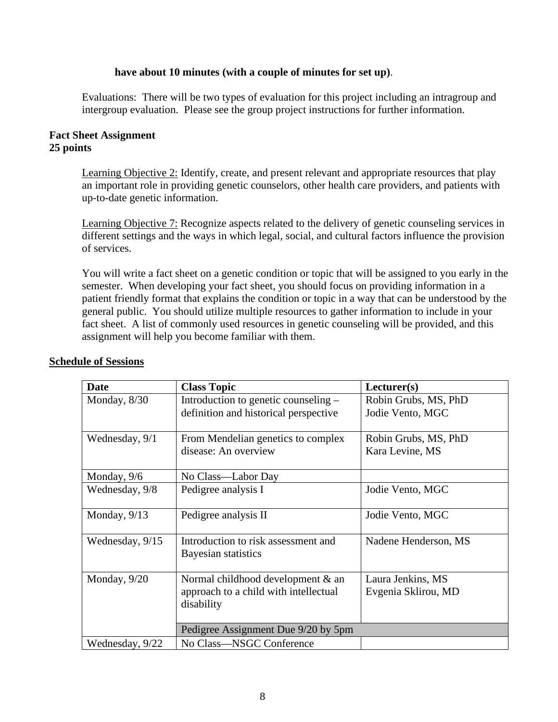#### **have about 10 minutes (with a couple of minutes for set up)**.

Evaluations: There will be two types of evaluation for this project including an intragroup and intergroup evaluation. Please see the group project instructions for further information.

#### **Fact Sheet Assignment 25 points**

Learning Objective 2: Identify, create, and present relevant and appropriate resources that play an important role in providing genetic counselors, other health care providers, and patients with up-to-date genetic information.

Learning Objective 7: Recognize aspects related to the delivery of genetic counseling services in different settings and the ways in which legal, social, and cultural factors influence the provision of services.

You will write a fact sheet on a genetic condition or topic that will be assigned to you early in the semester. When developing your fact sheet, you should focus on providing information in a patient friendly format that explains the condition or topic in a way that can be understood by the general public. You should utilize multiple resources to gather information to include in your fact sheet. A list of commonly used resources in genetic counseling will be provided, and this assignment will help you become familiar with them.

| <b>Date</b>     | <b>Class Topic</b>                                         | Lecturer(s)          |
|-----------------|------------------------------------------------------------|----------------------|
| Monday, 8/30    | Introduction to genetic counseling –                       | Robin Grubs, MS, PhD |
|                 | definition and historical perspective                      | Jodie Vento, MGC     |
| Wednesday, 9/1  | From Mendelian genetics to complex                         | Robin Grubs, MS, PhD |
|                 | disease: An overview                                       | Kara Levine, MS      |
| Monday, $9/6$   | No Class—Labor Day                                         |                      |
| Wednesday, 9/8  | Pedigree analysis I                                        | Jodie Vento, MGC     |
| Monday, $9/13$  | Pedigree analysis II                                       | Jodie Vento, MGC     |
| Wednesday, 9/15 | Introduction to risk assessment and<br>Bayesian statistics | Nadene Henderson, MS |
| Monday, 9/20    | Normal childhood development & an                          | Laura Jenkins, MS    |
|                 | approach to a child with intellectual<br>disability        | Evgenia Sklirou, MD  |
|                 |                                                            |                      |
|                 | Pedigree Assignment Due 9/20 by 5pm                        |                      |
| Wednesday, 9/22 | No Class-NSGC Conference                                   |                      |

### **Schedule of Sessions**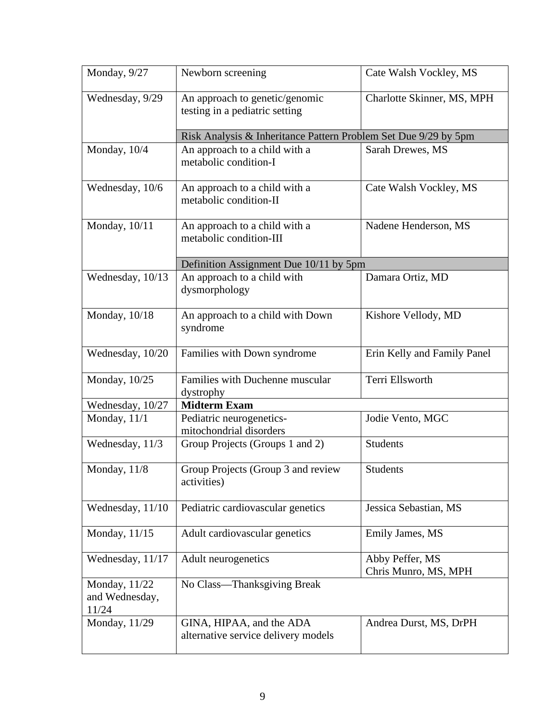| Monday, 9/27                             | Newborn screening                                                | Cate Walsh Vockley, MS                  |  |
|------------------------------------------|------------------------------------------------------------------|-----------------------------------------|--|
| Wednesday, 9/29                          | An approach to genetic/genomic<br>testing in a pediatric setting | Charlotte Skinner, MS, MPH              |  |
|                                          | Risk Analysis & Inheritance Pattern Problem Set Due 9/29 by 5pm  |                                         |  |
| Monday, 10/4                             | An approach to a child with a<br>metabolic condition-I           | Sarah Drewes, MS                        |  |
| Wednesday, 10/6                          | An approach to a child with a<br>metabolic condition-II          | Cate Walsh Vockley, MS                  |  |
| Monday, 10/11                            | An approach to a child with a<br>metabolic condition-III         | Nadene Henderson, MS                    |  |
|                                          | Definition Assignment Due 10/11 by 5pm                           |                                         |  |
| Wednesday, 10/13                         | An approach to a child with<br>dysmorphology                     | Damara Ortiz, MD                        |  |
| Monday, 10/18                            | An approach to a child with Down<br>syndrome                     | Kishore Vellody, MD                     |  |
| Wednesday, 10/20                         | Families with Down syndrome                                      | Erin Kelly and Family Panel             |  |
| Monday, 10/25                            | Families with Duchenne muscular<br>dystrophy                     | Terri Ellsworth                         |  |
| Wednesday, 10/27                         | <b>Midterm Exam</b>                                              |                                         |  |
| Monday, $11/1$                           | Pediatric neurogenetics-<br>mitochondrial disorders              | Jodie Vento, MGC                        |  |
| Wednesday, 11/3                          | Group Projects (Groups 1 and 2)                                  | <b>Students</b>                         |  |
| Monday, 11/8                             | Group Projects (Group 3 and review<br>activities)                | <b>Students</b>                         |  |
| Wednesday, 11/10                         | Pediatric cardiovascular genetics                                | Jessica Sebastian, MS                   |  |
| Monday, 11/15                            | Adult cardiovascular genetics                                    | Emily James, MS                         |  |
| Wednesday, 11/17                         | Adult neurogenetics                                              | Abby Peffer, MS<br>Chris Munro, MS, MPH |  |
| Monday, 11/22<br>and Wednesday,<br>11/24 | No Class-Thanksgiving Break                                      |                                         |  |
| Monday, 11/29                            | GINA, HIPAA, and the ADA<br>alternative service delivery models  | Andrea Durst, MS, DrPH                  |  |